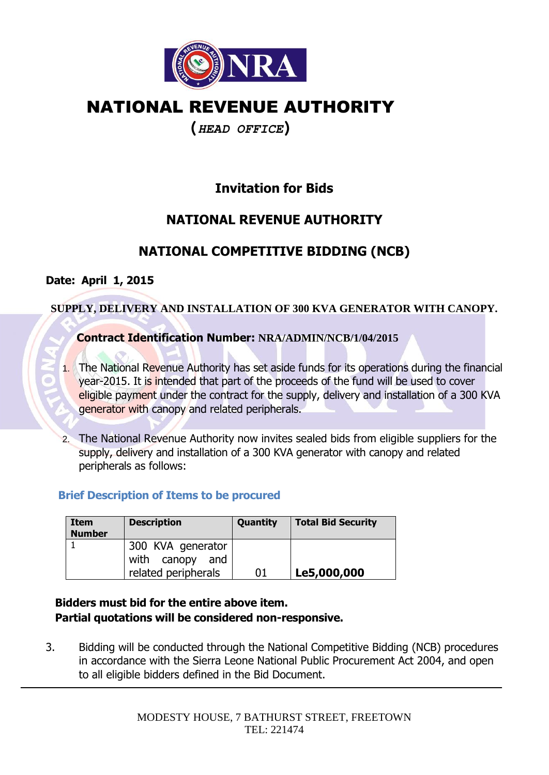

# NATIONAL REVENUE AUTHORITY

### **(***HEAD OFFICE***)**

## **Invitation for Bids**

### **NATIONAL REVENUE AUTHORITY**

## **NATIONAL COMPETITIVE BIDDING (NCB)**

#### **Date: April 1, 2015**

#### **SUPPLY, DELIVERY AND INSTALLATION OF 300 KVA GENERATOR WITH CANOPY.**

#### **Contract Identification Number: NRA/ADMIN/NCB/1/04/2015**

- 1. The National Revenue Authority has set aside funds for its operations during the financial year-2015. It is intended that part of the proceeds of the fund will be used to cover eligible payment under the contract for the supply, delivery and installation of a 300 KVA generator with canopy and related peripherals.
- 2. The National Revenue Authority now invites sealed bids from eligible suppliers for the supply, delivery and installation of a 300 KVA generator with canopy and related peripherals as follows:

#### **Brief Description of Items to be procured**

| <b>Item</b><br><b>Number</b> | <b>Description</b>                                          | Quantity | <b>Total Bid Security</b> |
|------------------------------|-------------------------------------------------------------|----------|---------------------------|
|                              | 300 KVA generator<br>with canopy and<br>related peripherals | 01       | Le5,000,000               |

#### **Bidders must bid for the entire above item. Partial quotations will be considered non-responsive.**

3. Bidding will be conducted through the National Competitive Bidding (NCB) procedures in accordance with the Sierra Leone National Public Procurement Act 2004, and open to all eligible bidders defined in the Bid Document.